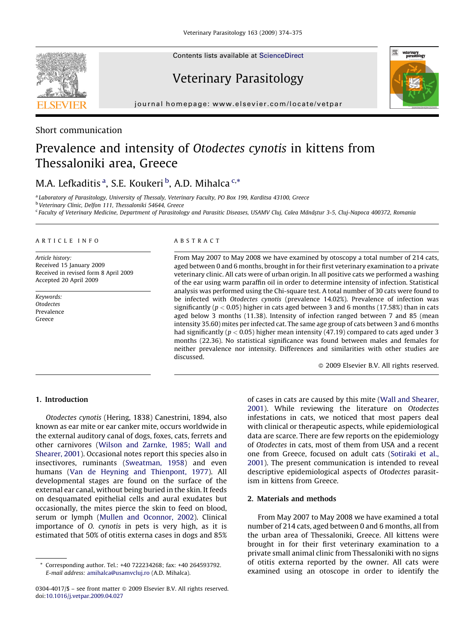Contents lists available at [ScienceDirect](http://www.sciencedirect.com/science/journal/03044017)

# Veterinary Parasitology



journal homepage: www.elsevier.com/locate/vetpar

### Short communication

# Prevalence and intensity of Otodectes cynotis in kittens from Thessaloniki area, Greece

## M.A. Lefkaditis<sup>a</sup>, S.E. Koukeri <sup>b</sup>, A.D. Mihalca<sup>c,\*</sup>

<sup>a</sup> Laboratory of Parasitology, University of Thessaly, Veterinary Faculty, PO Box 199, Karditsa 43100, Greece

<sup>b</sup> Veterinary Clinic, Delfon 111, Thessaloniki 54644, Greece

<sup>c</sup> Faculty of Veterinary Medicine, Department of Parasitology and Parasitic Diseases, USAMV Cluj, Calea Mănăștur 3-5, Cluj-Napoca 400372, Romania

#### ARTICLE INFO

Article history: Received 15 January 2009 Received in revised form 8 April 2009 Accepted 20 April 2009

Keywords: **Otodectes** Prevalence Greece

#### ABSTRACT

From May 2007 to May 2008 we have examined by otoscopy a total number of 214 cats, aged between 0 and 6 months, brought in for their first veterinary examination to a private veterinary clinic. All cats were of urban origin. In all positive cats we performed a washing of the ear using warm paraffin oil in order to determine intensity of infection. Statistical analysis was performed using the Chi-square test. A total number of 30 cats were found to be infected with Otodectes cynotis (prevalence 14.02%). Prevalence of infection was significantly ( $p < 0.05$ ) higher in cats aged between 3 and 6 months (17.58%) than in cats aged below 3 months (11.38). Intensity of infection ranged between 7 and 85 (mean intensity 35.60) mites per infected cat. The same age group of cats between 3 and 6 months had significantly ( $p < 0.05$ ) higher mean intensity (47.19) compared to cats aged under 3 months (22.36). No statistical significance was found between males and females for neither prevalence nor intensity. Differences and similarities with other studies are discussed.

- 2009 Elsevier B.V. All rights reserved.

#### 1. Introduction

Otodectes cynotis (Hering, 1838) Canestrini, 1894, also known as ear mite or ear canker mite, occurs worldwide in the external auditory canal of dogs, foxes, cats, ferrets and other carnivores [\(Wilson and Zarnke, 1985; Wall and](#page-1-0) [Shearer, 2001](#page-1-0)). Occasional notes report this species also in insectivores, ruminants [\(Sweatman, 1958](#page-1-0)) and even humans ([Van de Heyning and Thienpont, 1977\)](#page-1-0). All developmental stages are found on the surface of the external ear canal, without being buried in the skin. It feeds on desquamated epithelial cells and aural exudates but occasionally, the mites pierce the skin to feed on blood, serum or lymph [\(Mullen and Oconnor, 2002](#page-1-0)). Clinical importance of O. cynotis in pets is very high, as it is estimated that 50% of otitis externa cases in dogs and 85%

of cases in cats are caused by this mite ([Wall and Shearer,](#page-1-0) [2001](#page-1-0)). While reviewing the literature on Otodectes infestations in cats, we noticed that most papers deal with clinical or therapeutic aspects, while epidemiological data are scarce. There are few reports on the epidemiology of Otodectes in cats, most of them from USA and a recent one from Greece, focused on adult cats ([Sotiraki et al.,](#page-1-0) [2001](#page-1-0)). The present communication is intended to reveal descriptive epidemiological aspects of Otodectes parasitism in kittens from Greece.

#### 2. Materials and methods

From May 2007 to May 2008 we have examined a total number of 214 cats, aged between 0 and 6 months, all from the urban area of Thessaloniki, Greece. All kittens were brought in for their first veterinary examination to a private small animal clinic from Thessaloniki with no signs of otitis externa reported by the owner. All cats were examined using an otoscope in order to identify the

Corresponding author. Tel.: +40 722234268; fax: +40 264593792. E-mail address: [amihalca@usamvcluj.ro](mailto:amihalca@usamvcluj.ro) (A.D. Mihalca).

<sup>0304-4017/\$ –</sup> see front matter © 2009 Elsevier B.V. All rights reserved. doi[:10.1016/j.vetpar.2009.04.027](http://dx.doi.org/10.1016/j.vetpar.2009.04.027)